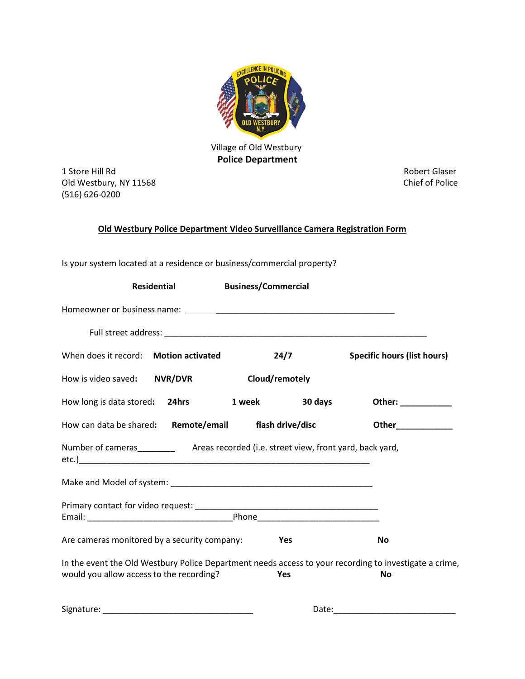

## **Police Department**

1 Store Hill Rd<br>
Old Westbury, NY 11568<br>
Old Westbury, NY 11568 Old Westbury, NY 11568 (516) 626-0200

#### **Old Westbury Police Department Video Surveillance Camera Registration Form**

Is your system located at a residence or business/commercial property?

| Residential                                           |  | <b>Business/Commercial</b> |                    |                                                                                                                     |
|-------------------------------------------------------|--|----------------------------|--------------------|---------------------------------------------------------------------------------------------------------------------|
|                                                       |  |                            |                    |                                                                                                                     |
|                                                       |  |                            |                    |                                                                                                                     |
| When does it record: Motion activated                 |  | 24/7                       |                    | <b>Specific hours (list hours)</b>                                                                                  |
| How is video saved: NVR/DVR                           |  | Cloud/remotely             |                    |                                                                                                                     |
| How long is data stored: 24hrs                        |  | 1 week                     | 30 days            | Other: ___________                                                                                                  |
| How can data be shared: Remote/email flash drive/disc |  |                            | Other_____________ |                                                                                                                     |
|                                                       |  |                            |                    |                                                                                                                     |
|                                                       |  |                            |                    |                                                                                                                     |
|                                                       |  |                            |                    |                                                                                                                     |
| Are cameras monitored by a security company:<br>Yes   |  |                            | <b>No</b>          |                                                                                                                     |
| would you allow access to the recording?              |  | Yes                        |                    | In the event the Old Westbury Police Department needs access to your recording to investigate a crime,<br><b>No</b> |
|                                                       |  |                            | Date:              |                                                                                                                     |